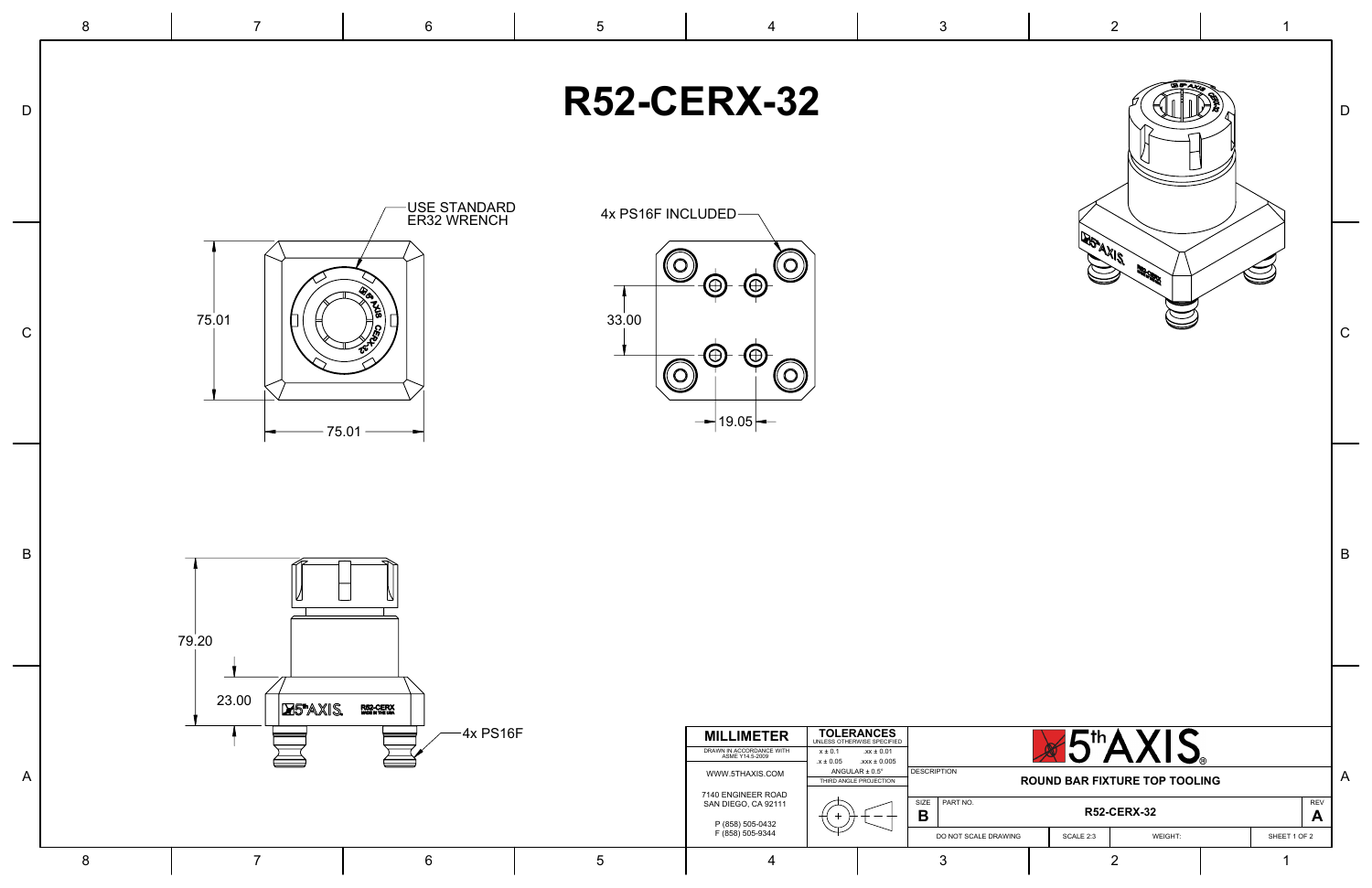|                | $8\phantom{1}$ | $\overline{7}$                       | $6\overline{6}$                                                   | $5\phantom{.0}$                                                                    | $\overline{4}$                                                                                                                                                                                                                                   | $\mathbf{3}$                                                                                                                                                                      | 2                                                                                                                        |                                                   |
|----------------|----------------|--------------------------------------|-------------------------------------------------------------------|------------------------------------------------------------------------------------|--------------------------------------------------------------------------------------------------------------------------------------------------------------------------------------------------------------------------------------------------|-----------------------------------------------------------------------------------------------------------------------------------------------------------------------------------|--------------------------------------------------------------------------------------------------------------------------|---------------------------------------------------|
| D              |                |                                      |                                                                   |                                                                                    | <b>R52-CERX-32</b>                                                                                                                                                                                                                               |                                                                                                                                                                                   |                                                                                                                          |                                                   |
| $\mathsf{C}^-$ |                | 75.01<br>75.01                       | <b>USE STANDARD<br/>ER32 WRENCH</b>                               | 4x PS16F INCLUDED-<br>$\left($ $\bigcirc\right)$<br>33.00<br>$\textcircled{\circ}$ | $\bigcirc$<br>$\circledcirc$<br>$\oplus$<br>( <del>()</del><br>$\mathcal{O}$<br>$\rightarrow$ 19.05 $\leftarrow$                                                                                                                                 |                                                                                                                                                                                   | <b>DESTAXIS</b>                                                                                                          | C                                                 |
| B              |                | 79.20                                |                                                                   |                                                                                    |                                                                                                                                                                                                                                                  |                                                                                                                                                                                   |                                                                                                                          | B                                                 |
| A              | 8              | 23.00<br>DUSTAXIS.<br>$\overline{7}$ | <b>R52-CERX</b><br>Modenthe Uni<br>$-4x$ PS16F<br>$6\phantom{1}6$ | $5\overline{)}$                                                                    | <b>MILLIMETER</b><br>DRAWN IN ACCORDANCE WITH<br>ASME Y14.5-2009<br>$x \pm 0.1$<br>$.x \pm 0.05$<br>ANGULAR $\pm$ 0.5°<br>WWW.5THAXIS.COM<br>7140 ENGINEER ROAD<br>SAN DIEGO, CA 92111<br>P (858) 505-0432<br>F (858) 505-9344<br>$\overline{4}$ | <b>TOLERANCES</b><br>UNLESS OTHERWISE SPECIFIED<br>$.xx \pm 0.01$<br>$.xxx \pm 0.005$<br>DESCRIPTION<br>THIRD ANGLE PROJECTION<br>SIZE PART NO.<br>B<br>DO NOT SCALE DRAWING<br>3 | <b>X5th AXIS</b><br><b>ROUND BAR FIXTURE TOP TOOLING</b><br><b>R52-CERX-32</b><br>WEIGHT:<br>SCALE 2:3<br>$\overline{2}$ | $\overline{A}$<br><b>REV</b><br>A<br>SHEET 1 OF 2 |

 $\sim$ 

 $\sim$